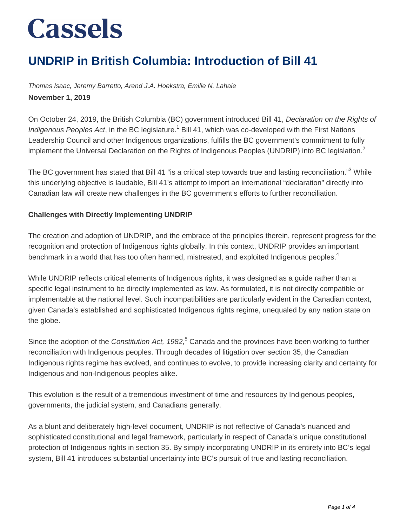### **UNDRIP in British Columbia: Introduction of Bill 41**

Thomas Isaac, Jeremy Barretto, Arend J.A. Hoekstra, Emilie N. Lahaie **November 1, 2019**

On October 24, 2019, the British Columbia (BC) government introduced Bill 41, Declaration on the Rights of Indigenous Peoples Act, in the BC legislature.<sup>1</sup> Bill 41, which was co-developed with the First Nations Leadership Council and other Indigenous organizations, fulfills the BC government's commitment to fully implement the Universal Declaration on the Rights of Indigenous Peoples (UNDRIP) into BC legislation.<sup>2</sup>

The BC government has stated that Bill 41 "is a critical step towards true and lasting reconciliation."<sup>3</sup> While this underlying objective is laudable, Bill 41's attempt to import an international "declaration" directly into Canadian law will create new challenges in the BC government's efforts to further reconciliation.

#### **Challenges with Directly Implementing UNDRIP**

The creation and adoption of UNDRIP, and the embrace of the principles therein, represent progress for the recognition and protection of Indigenous rights globally. In this context, UNDRIP provides an important benchmark in a world that has too often harmed, mistreated, and exploited Indigenous peoples.<sup>4</sup>

While UNDRIP reflects critical elements of Indigenous rights, it was designed as a guide rather than a specific legal instrument to be directly implemented as law. As formulated, it is not directly compatible or implementable at the national level. Such incompatibilities are particularly evident in the Canadian context, given Canada's established and sophisticated Indigenous rights regime, unequaled by any nation state on the globe.

Since the adoption of the Constitution Act, 1982,<sup>5</sup> Canada and the provinces have been working to further reconciliation with Indigenous peoples. Through decades of litigation over section 35, the Canadian Indigenous rights regime has evolved, and continues to evolve, to provide increasing clarity and certainty for Indigenous and non-Indigenous peoples alike.

This evolution is the result of a tremendous investment of time and resources by Indigenous peoples, governments, the judicial system, and Canadians generally.

As a blunt and deliberately high-level document, UNDRIP is not reflective of Canada's nuanced and sophisticated constitutional and legal framework, particularly in respect of Canada's unique constitutional protection of Indigenous rights in section 35. By simply incorporating UNDRIP in its entirety into BC's legal system, Bill 41 introduces substantial uncertainty into BC's pursuit of true and lasting reconciliation.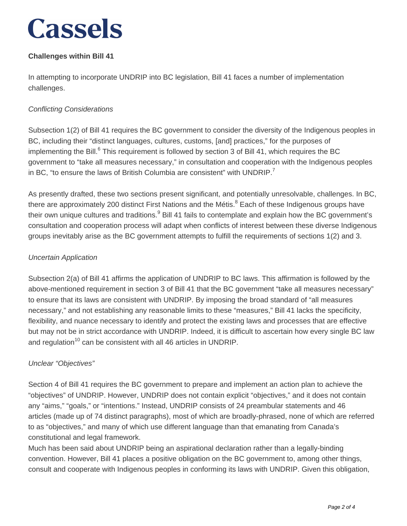#### **Challenges within Bill 41**

In attempting to incorporate UNDRIP into BC legislation, Bill 41 faces a number of implementation challenges.

#### Conflicting Considerations

Subsection 1(2) of Bill 41 requires the BC government to consider the diversity of the Indigenous peoples in BC, including their "distinct languages, cultures, customs, [and] practices," for the purposes of implementing the Bill.<sup>6</sup> This requirement is followed by section 3 of Bill 41, which requires the BC government to "take all measures necessary," in consultation and cooperation with the Indigenous peoples in BC, "to ensure the laws of British Columbia are consistent" with UNDRIP. $<sup>7</sup>$ </sup>

As presently drafted, these two sections present significant, and potentially unresolvable, challenges. In BC, there are approximately 200 distinct First Nations and the Métis.<sup>8</sup> Each of these Indigenous groups have their own unique cultures and traditions. $^9$  Bill 41 fails to contemplate and explain how the BC government's consultation and cooperation process will adapt when conflicts of interest between these diverse Indigenous groups inevitably arise as the BC government attempts to fulfill the requirements of sections 1(2) and 3.

#### Uncertain Application

Subsection 2(a) of Bill 41 affirms the application of UNDRIP to BC laws. This affirmation is followed by the above-mentioned requirement in section 3 of Bill 41 that the BC government "take all measures necessary" to ensure that its laws are consistent with UNDRIP. By imposing the broad standard of "all measures necessary," and not establishing any reasonable limits to these "measures," Bill 41 lacks the specificity, flexibility, and nuance necessary to identify and protect the existing laws and processes that are effective but may not be in strict accordance with UNDRIP. Indeed, it is difficult to ascertain how every single BC law and regulation<sup>10</sup> can be consistent with all 46 articles in UNDRIP.

#### Unclear "Objectives"

Section 4 of Bill 41 requires the BC government to prepare and implement an action plan to achieve the "objectives" of UNDRIP. However, UNDRIP does not contain explicit "objectives," and it does not contain any "aims," "goals," or "intentions." Instead, UNDRIP consists of 24 preambular statements and 46 articles (made up of 74 distinct paragraphs), most of which are broadly-phrased, none of which are referred to as "objectives," and many of which use different language than that emanating from Canada's constitutional and legal framework.

Much has been said about UNDRIP being an aspirational declaration rather than a legally-binding convention. However, Bill 41 places a positive obligation on the BC government to, among other things, consult and cooperate with Indigenous peoples in conforming its laws with UNDRIP. Given this obligation,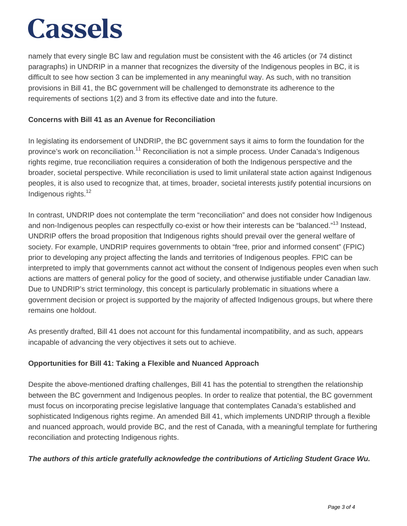namely that every single BC law and regulation must be consistent with the 46 articles (or 74 distinct paragraphs) in UNDRIP in a manner that recognizes the diversity of the Indigenous peoples in BC, it is difficult to see how section 3 can be implemented in any meaningful way. As such, with no transition provisions in Bill 41, the BC government will be challenged to demonstrate its adherence to the requirements of sections 1(2) and 3 from its effective date and into the future.

#### **Concerns with Bill 41 as an Avenue for Reconciliation**

In legislating its endorsement of UNDRIP, the BC government says it aims to form the foundation for the province's work on reconciliation.<sup>11</sup> Reconciliation is not a simple process. Under Canada's Indigenous rights regime, true reconciliation requires a consideration of both the Indigenous perspective and the broader, societal perspective. While reconciliation is used to limit unilateral state action against Indigenous peoples, it is also used to recognize that, at times, broader, societal interests justify potential incursions on Indigenous rights.<sup>12</sup>

In contrast, UNDRIP does not contemplate the term "reconciliation" and does not consider how Indigenous and non-Indigenous peoples can respectfully co-exist or how their interests can be "balanced."<sup>13</sup> Instead, UNDRIP offers the broad proposition that Indigenous rights should prevail over the general welfare of society. For example, UNDRIP requires governments to obtain "free, prior and informed consent" (FPIC) prior to developing any project affecting the lands and territories of Indigenous peoples. FPIC can be interpreted to imply that governments cannot act without the consent of Indigenous peoples even when such actions are matters of general policy for the good of society, and otherwise justifiable under Canadian law. Due to UNDRIP's strict terminology, this concept is particularly problematic in situations where a government decision or project is supported by the majority of affected Indigenous groups, but where there remains one holdout.

As presently drafted, Bill 41 does not account for this fundamental incompatibility, and as such, appears incapable of advancing the very objectives it sets out to achieve.

#### **Opportunities for Bill 41: Taking a Flexible and Nuanced Approach**

Despite the above-mentioned drafting challenges, Bill 41 has the potential to strengthen the relationship between the BC government and Indigenous peoples. In order to realize that potential, the BC government must focus on incorporating precise legislative language that contemplates Canada's established and sophisticated Indigenous rights regime. An amended Bill 41, which implements UNDRIP through a flexible and nuanced approach, would provide BC, and the rest of Canada, with a meaningful template for furthering reconciliation and protecting Indigenous rights.

#### **The authors of this article gratefully acknowledge the contributions of Articling Student Grace Wu.**